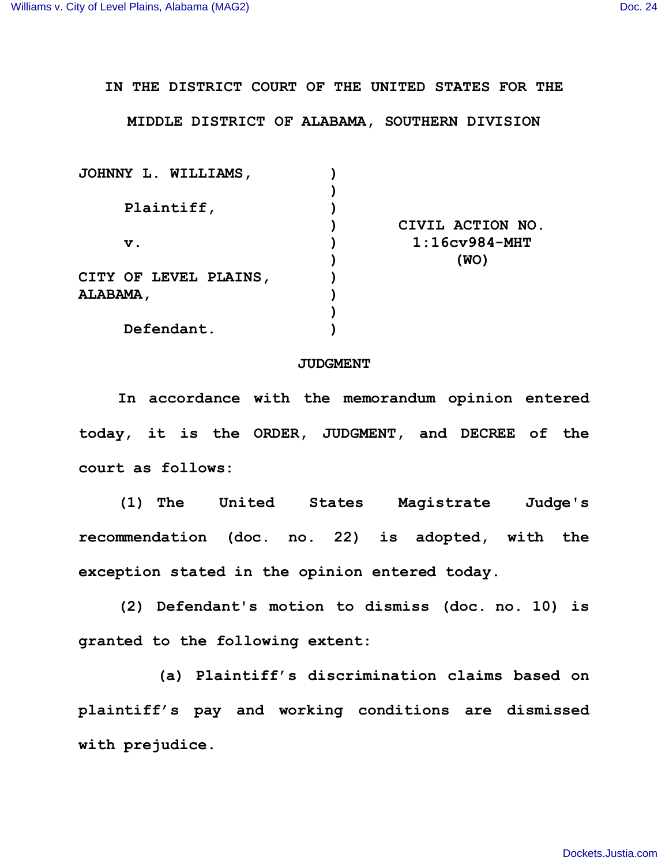**IN THE DISTRICT COURT OF THE UNITED STATES FOR THE**

**MIDDLE DISTRICT OF ALABAMA, SOUTHERN DIVISION**

| JOHNNY L. WILLIAMS,   |                  |
|-----------------------|------------------|
|                       |                  |
| Plaintiff,            |                  |
|                       | CIVIL ACTION NO. |
| $\mathbf v$ .         | $1:16cv984-MHT$  |
|                       | (WO)             |
| CITY OF LEVEL PLAINS, |                  |
| <b>ALABAMA ,</b>      |                  |
|                       |                  |
| Defendant.            |                  |

## **JUDGMENT**

**In accordance with the memorandum opinion entered today, it is the ORDER, JUDGMENT, and DECREE of the court as follows:**

**(1) The United States Magistrate Judge's recommendation (doc. no. 22) is adopted, with the exception stated in the opinion entered today.**

**(2) Defendant's motion to dismiss (doc. no. 10) is granted to the following extent:**

**(a) Plaintiff's discrimination claims based on plaintiff's pay and working conditions are dismissed with prejudice.**